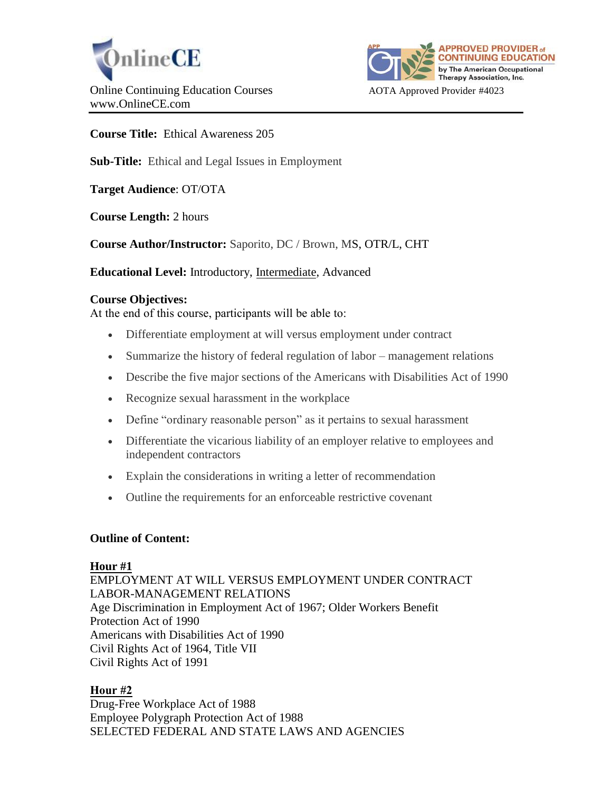



**Course Title:** Ethical Awareness 205

**Sub-Title:** Ethical and Legal Issues in Employment

**Target Audience**: OT/OTA

**Course Length:** 2 hours

**Course Author/Instructor:** Saporito, DC / Brown, MS, OTR/L, CHT

**Educational Level:** Introductory, Intermediate, Advanced

#### **Course Objectives:**

At the end of this course, participants will be able to:

- Differentiate employment at will versus employment under contract
- Summarize the history of federal regulation of labor management relations
- Describe the five major sections of the Americans with Disabilities Act of 1990
- Recognize sexual harassment in the workplace
- Define "ordinary reasonable person" as it pertains to sexual harassment
- Differentiate the vicarious liability of an employer relative to employees and independent contractors
- Explain the considerations in writing a letter of recommendation
- Outline the requirements for an enforceable restrictive covenant

#### **Outline of Content:**

#### **Hour #1**

EMPLOYMENT AT WILL VERSUS EMPLOYMENT UNDER CONTRACT LABOR-MANAGEMENT RELATIONS Age Discrimination in Employment Act of 1967; Older Workers Benefit Protection Act of 1990 Americans with Disabilities Act of 1990 Civil Rights Act of 1964, Title VII Civil Rights Act of 1991

# **Hour #2**

Drug-Free Workplace Act of 1988 Employee Polygraph Protection Act of 1988 SELECTED FEDERAL AND STATE LAWS AND AGENCIES